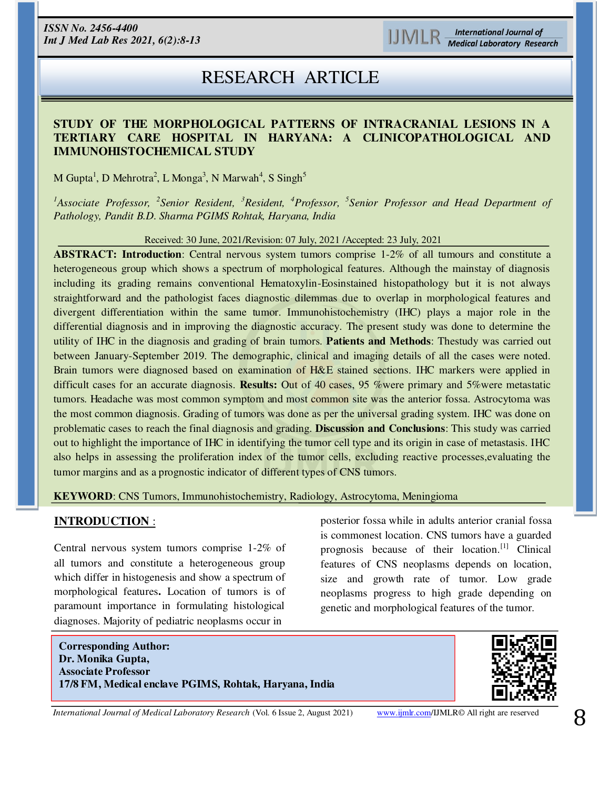# RESEARCH ARTICLE

### **STUDY OF THE MORPHOLOGICAL PATTERNS OF INTRACRANIAL LESIONS IN A TERTIARY CARE HOSPITAL IN HARYANA: A CLINICOPATHOLOGICAL AND IMMUNOHISTOCHEMICAL STUDY**

M Gupta<sup>1</sup>, D Mehrotra<sup>2</sup>, L Monga<sup>3</sup>, N Marwah<sup>4</sup>, S Singh<sup>5</sup>

*<sup>1</sup>Associate Professor, <sup>2</sup> Senior Resident, <sup>3</sup>Resident, <sup>4</sup>Professor, <sup>5</sup> Senior Professor and Head Department of Pathology, Pandit B.D. Sharma PGIMS Rohtak, Haryana, India* 

Received: 30 June, 2021/Revision: 07 July, 2021 /Accepted: 23 July, 2021

**ABSTRACT: Introduction**: Central nervous system tumors comprise 1-2% of all tumours and constitute a heterogeneous group which shows a spectrum of morphological features. Although the mainstay of diagnosis including its grading remains conventional Hematoxylin-Eosinstained histopathology but it is not always straightforward and the pathologist faces diagnostic dilemmas due to overlap in morphological features and divergent differentiation within the same tumor. Immunohistochemistry (IHC) plays a major role in the differential diagnosis and in improving the diagnostic accuracy. The present study was done to determine the utility of IHC in the diagnosis and grading of brain tumors. **Patients and Methods**: Thestudy was carried out between January-September 2019. The demographic, clinical and imaging details of all the cases were noted. Brain tumors were diagnosed based on examination of H&E stained sections. IHC markers were applied in difficult cases for an accurate diagnosis. **Results:** Out of 40 cases, 95 %were primary and 5%were metastatic tumors. Headache was most common symptom and most common site was the anterior fossa. Astrocytoma was the most common diagnosis. Grading of tumors was done as per the universal grading system. IHC was done on problematic cases to reach the final diagnosis and grading. **Discussion and Conclusions**: This study was carried out to highlight the importance of IHC in identifying the tumor cell type and its origin in case of metastasis. IHC also helps in assessing the proliferation index of the tumor cells, excluding reactive processes,evaluating the tumor margins and as a prognostic indicator of different types of CNS tumors.

#### **KEYWORD**: CNS Tumors, Immunohistochemistry, Radiology, Astrocytoma, Meningioma

# **INTRODUCTION** :

ׇ֚֚֚֡֬

Central nervous system tumors comprise 1-2% of all tumors and constitute a heterogeneous group which differ in histogenesis and show a spectrum of morphological features**.** Location of tumors is of paramount importance in formulating histological diagnoses. Majority of pediatric neoplasms occur in

posterior fossa while in adults anterior cranial fossa is commonest location. CNS tumors have a guarded prognosis because of their location.[1] Clinical features of CNS neoplasms depends on location, size and growth rate of tumor. Low grade neoplasms progress to high grade depending on genetic and morphological features of the tumor.

**Corresponding Author: Dr. Monika Gupta, Associate Professor 17/8 FM, Medical enclave PGIMS, Rohtak, Haryana, India** 



*International Journal of Medical Laboratory Research* (Vol. 6 Issue 2, August 2021) [www.ijmlr.com/](https://www.ijmlr.com/)IJMLR© All right are reserved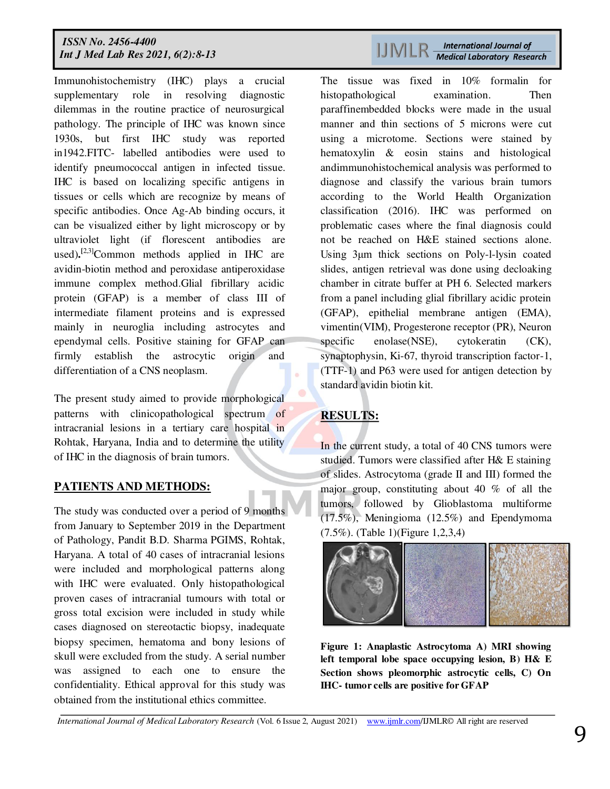Immunohistochemistry (IHC) plays a crucial supplementary role in resolving diagnostic dilemmas in the routine practice of neurosurgical pathology. The principle of IHC was known since 1930s, but first IHC study was reported in1942.FITC- labelled antibodies were used to identify pneumococcal antigen in infected tissue. IHC is based on localizing specific antigens in tissues or cells which are recognize by means of specific antibodies. Once Ag-Ab binding occurs, it can be visualized either by light microscopy or by ultraviolet light (if florescent antibodies are used).<sup>[2,3]</sup>Common methods applied in IHC are avidin-biotin method and peroxidase antiperoxidase immune complex method.Glial fibrillary acidic protein (GFAP) is a member of class III of intermediate filament proteins and is expressed mainly in neuroglia including astrocytes and ependymal cells. Positive staining for GFAP can firmly establish the astrocytic origin and differentiation of a CNS neoplasm.

The present study aimed to provide morphological patterns with clinicopathological spectrum of intracranial lesions in a tertiary care hospital in Rohtak, Haryana, India and to determine the utility of IHC in the diagnosis of brain tumors.

# **PATIENTS AND METHODS:**

The study was conducted over a period of 9 months from January to September 2019 in the Department of Pathology, Pandit B.D. Sharma PGIMS, Rohtak, Haryana. A total of 40 cases of intracranial lesions were included and morphological patterns along with IHC were evaluated. Only histopathological proven cases of intracranial tumours with total or gross total excision were included in study while cases diagnosed on stereotactic biopsy, inadequate biopsy specimen, hematoma and bony lesions of skull were excluded from the study. A serial number was assigned to each one to ensure the confidentiality. Ethical approval for this study was obtained from the institutional ethics committee.

# 

The tissue was fixed in 10% formalin for histopathological examination. Then paraffinembedded blocks were made in the usual manner and thin sections of 5 microns were cut using a microtome. Sections were stained by hematoxylin & eosin stains and histological andimmunohistochemical analysis was performed to diagnose and classify the various brain tumors according to the World Health Organization classification (2016). IHC was performed on problematic cases where the final diagnosis could not be reached on H&E stained sections alone. Using 3μm thick sections on Poly-l-lysin coated slides, antigen retrieval was done using decloaking chamber in citrate buffer at PH 6. Selected markers from a panel including glial fibrillary acidic protein (GFAP), epithelial membrane antigen (EMA), vimentin(VIM), Progesterone receptor (PR), Neuron specific enolase(NSE), cytokeratin (CK), synaptophysin, Ki-67, thyroid transcription factor-1, (TTF-1) and P63 were used for antigen detection by standard avidin biotin kit.

# **RESULTS:**

In the current study, a total of 40 CNS tumors were studied. Tumors were classified after H& E staining of slides. Astrocytoma (grade II and III) formed the major group, constituting about 40 % of all the tumors, followed by Glioblastoma multiforme (17.5%), Meningioma (12.5%) and Ependymoma (7.5%). (Table 1)(Figure 1,2,3,4)



**Figure 1: Anaplastic Astrocytoma A) MRI showing left temporal lobe space occupying lesion, B) H& E Section shows pleomorphic astrocytic cells, C) On IHC- tumor cells are positive for GFAP**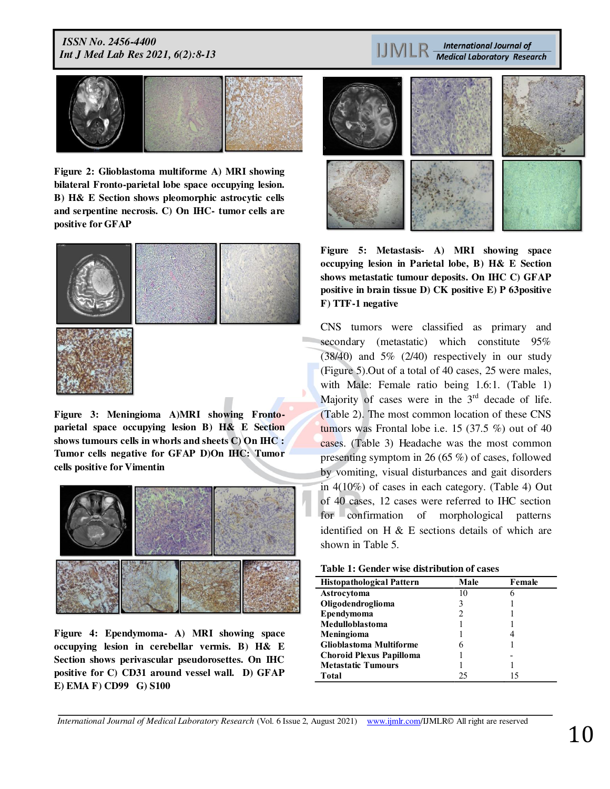**Figure 2: Glioblastoma multiforme A) MRI showing bilateral Fronto-parietal lobe space occupying lesion. B) H& E Section shows pleomorphic astrocytic cells and serpentine necrosis. C) On IHC- tumor cells are positive for GFAP** 



**Figure 3: Meningioma A)MRI showing Frontoparietal space occupying lesion B) H& E Section shows tumours cells in whorls and sheets C) On IHC : Tumor cells negative for GFAP D)On IHC: Tumor cells positive for Vimentin** 



**Figure 4: Ependymoma- A) MRI showing space occupying lesion in cerebellar vermis. B) H& E Section shows perivascular pseudorosettes. On IHC positive for C) CD31 around vessel wall. D) GFAP E) EMA F) CD99 G) S100** 

**International Journal of IJMLR Medical Laboratory Research** 



**Figure 5: Metastasis- A) MRI showing space occupying lesion in Parietal lobe, B) H& E Section shows metastatic tumour deposits. On IHC C) GFAP positive in brain tissue D) CK positive E) P 63positive F) TTF-1 negative** 

CNS tumors were classified as primary and secondary (metastatic) which constitute 95% (38/40) and 5% (2/40) respectively in our study (Figure 5).Out of a total of 40 cases, 25 were males, with Male: Female ratio being 1.6:1. (Table 1) Majority of cases were in the  $3<sup>rd</sup>$  decade of life. (Table 2). The most common location of these CNS tumors was Frontal lobe i.e. 15  $(37.5\%)$  out of 40 cases. (Table 3) Headache was the most common presenting symptom in 26 (65 %) of cases, followed by vomiting, visual disturbances and gait disorders in 4(10%) of cases in each category. (Table 4) Out of 40 cases, 12 cases were referred to IHC section for confirmation of morphological patterns identified on H & E sections details of which are shown in Table 5.

| <b>Histopathological Pattern</b> | Male | Female |
|----------------------------------|------|--------|
| Astrocytoma                      |      | h      |
| Oligodendroglioma                |      |        |
| Ependymoma                       |      |        |
| Medulloblastoma                  |      |        |
| Meningioma                       |      |        |
| <b>Glioblastoma Multiforme</b>   | h    |        |
| <b>Choroid Plexus Papilloma</b>  |      |        |
| <b>Metastatic Tumours</b>        |      |        |
| Total                            | 25   |        |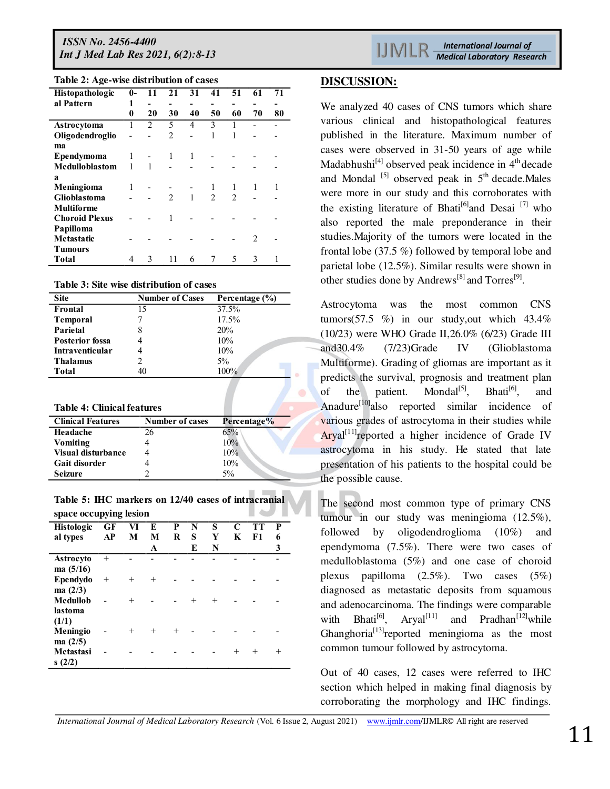| <b>IJMLR</b> |  | <b>International Journal of</b> |  |  |                                   |  |  |
|--------------|--|---------------------------------|--|--|-----------------------------------|--|--|
|              |  |                                 |  |  | <b>Medical Laboratory Researc</b> |  |  |

| Table 2: Age-wise distribution of cases |  |  |  |  |  |
|-----------------------------------------|--|--|--|--|--|
|-----------------------------------------|--|--|--|--|--|

| Tuble 2: 1150 which distribution of capes |              |                |                |    |                |               |    |    |
|-------------------------------------------|--------------|----------------|----------------|----|----------------|---------------|----|----|
| Histopathologic                           | $\mathbf{0}$ | 11             | 21             | 31 | 41             | 51            | 61 | 71 |
| al Pattern                                |              |                |                |    |                |               |    |    |
|                                           | 0            | 20             | 30             | 40 | 50             | 60            | 70 | 80 |
| Astrocytoma                               |              | $\mathfrak{D}$ | 5              | 4  | 3              |               |    |    |
| Oligodendroglio                           |              |                | $\overline{2}$ |    | 1              | 1             |    |    |
| ma                                        |              |                |                |    |                |               |    |    |
| <b>Ependymoma</b>                         | 1            |                | 1              | 1  |                |               |    |    |
| Medulloblastom                            |              | 1              |                |    |                |               |    |    |
| a                                         |              |                |                |    |                |               |    |    |
| Meningioma                                | 1            |                |                |    |                |               | 1  | 1  |
| <b>Glioblastoma</b>                       |              |                | $\mathfrak{D}$ | 1  | $\mathfrak{D}$ | $\mathcal{D}$ |    |    |
| Multiforme                                |              |                |                |    |                |               |    |    |
| <b>Choroid Plexus</b>                     |              |                |                |    |                |               |    |    |
| Papilloma                                 |              |                |                |    |                |               |    |    |
| <b>Metastatic</b>                         |              |                |                |    |                |               | 2  |    |
| <b>Tumours</b>                            |              |                |                |    |                |               |    |    |
| Total                                     |              | 3              | 11             | 6  |                | 5             | 3  | 1  |

**Table 3: Site wise distribution of cases** 

| <b>Site</b>            | <b>Number of Cases</b> | Percentage (%) |
|------------------------|------------------------|----------------|
| Frontal                | 15                     | 37.5%          |
| <b>Temporal</b>        |                        | 17.5%          |
| Parietal               |                        | 20%            |
| <b>Posterior fossa</b> |                        | 10%            |
| Intraventicular        |                        | 10%            |
| <b>Thalamus</b>        |                        | $5\%$          |
| Total                  | 40                     | 100%           |

**Table 4: Clinical features** 

| <b>Clinical Features</b>  | <b>Number of cases</b> | Percentage% |
|---------------------------|------------------------|-------------|
| Headache                  | 26                     | 65%         |
| Vomiting                  |                        | 10%         |
| <b>Visual disturbance</b> |                        | 10%         |
| Gait disorder             |                        | 10%         |
| Seizure                   |                        | 5%          |

**Table 5: IHC markers on 12/40 cases of intracranial space occupying lesion** 

| Histologic<br>al types          | GF<br>AP | VI<br>М | E<br>M<br>A | P<br>R | N<br>S<br>E | S<br>Y<br>N | C<br>K | TТ<br>F1 | P<br>6<br>3 |
|---------------------------------|----------|---------|-------------|--------|-------------|-------------|--------|----------|-------------|
| <b>Astrocyto</b><br>ma $(5/16)$ | $^{+}$   |         |             |        |             |             |        |          |             |
| Ependydo<br>ma(2/3)             | $^+$     | $^{+}$  | $^{+}$      |        |             |             |        |          |             |
| Medullob<br>lastoma<br>(1/1)    |          | $^+$    |             |        | $^{+}$      | $^{+}$      |        |          |             |
| Meningio<br>ma(2/5)             |          | $^{+}$  | $^{+}$      | $^{+}$ |             |             |        |          |             |
| Metastasi<br>s(2/2)             |          |         |             |        |             |             | $^{+}$ |          | $\pm$       |

We analyzed 40 cases of CNS tumors which share various clinical and histopathological features published in the literature. Maximum number of cases were observed in 31-50 years of age while Madabhushi<sup>[4]</sup> observed peak incidence in  $4<sup>th</sup>$  decade and Mondal  $^{[5]}$  observed peak in  $5<sup>th</sup>$  decade. Males were more in our study and this corroborates with the existing literature of Bhati<sup>[6]</sup>and Desai <sup>[7]</sup> who also reported the male preponderance in their studies.Majority of the tumors were located in the frontal lobe (37.5 %) followed by temporal lobe and parietal lobe (12.5%). Similar results were shown in other studies done by Andrews<sup>[8]</sup> and Torres<sup>[9]</sup>.

Astrocytoma was the most common CNS tumors(57.5 %) in our study, out which  $43.4\%$ (10/23) were WHO Grade II,26.0% (6/23) Grade III and30.4% (7/23)Grade IV (Glioblastoma Multiforme). Grading of gliomas are important as it predicts the survival, prognosis and treatment plan of the patient. Mondal<sup>[5]</sup>, Bhati<sup>[6]</sup>, and Anadure $\left[10\right]$ also reported similar incidence of various grades of astrocytoma in their studies while  $Arval<sup>[11]</sup>$ reported a higher incidence of Grade IV astrocytoma in his study. He stated that late presentation of his patients to the hospital could be the possible cause.

The second most common type of primary CNS tumour in our study was meningioma (12.5%), followed by oligodendroglioma (10%) and ependymoma (7.5%). There were two cases of medulloblastoma (5%) and one case of choroid plexus papilloma (2.5%). Two cases (5%) diagnosed as metastatic deposits from squamous and adenocarcinoma. The findings were comparable with Bhati<sup>[6]</sup>, Aryal<sup>[11]</sup> and Pradhan<sup>[12]</sup>while Ghanghoria<sup>[13]</sup>reported meningioma as the most common tumour followed by astrocytoma.

Out of 40 cases, 12 cases were referred to IHC section which helped in making final diagnosis by corroborating the morphology and IHC findings.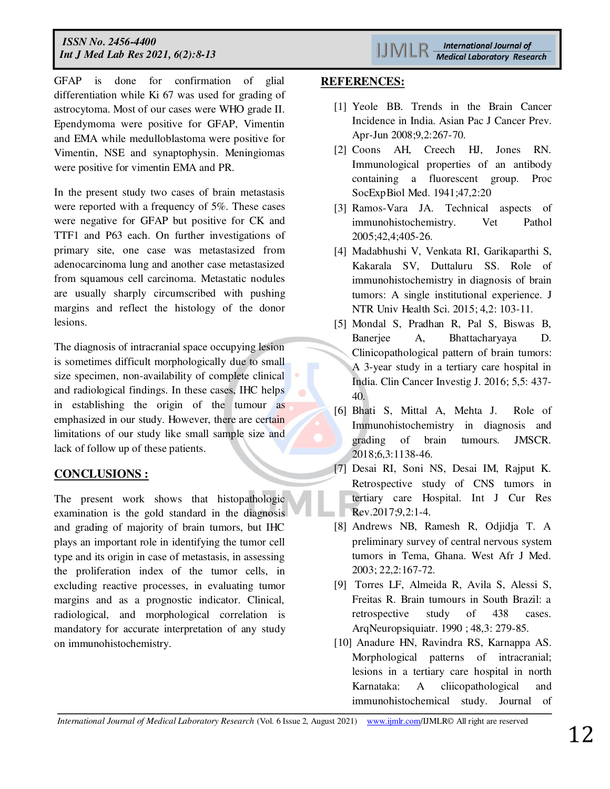GFAP is done for confirmation of glial differentiation while Ki 67 was used for grading of astrocytoma. Most of our cases were WHO grade II. Ependymoma were positive for GFAP, Vimentin and EMA while medulloblastoma were positive for Vimentin, NSE and synaptophysin. Meningiomas were positive for vimentin EMA and PR.

In the present study two cases of brain metastasis were reported with a frequency of 5%. These cases were negative for GFAP but positive for CK and TTF1 and P63 each. On further investigations of primary site, one case was metastasized from adenocarcinoma lung and another case metastasized from squamous cell carcinoma. Metastatic nodules are usually sharply circumscribed with pushing margins and reflect the histology of the donor lesions.

The diagnosis of intracranial space occupying lesion is sometimes difficult morphologically due to small size specimen, non-availability of complete clinical and radiological findings. In these cases, IHC helps in establishing the origin of the tumour as emphasized in our study. However, there are certain limitations of our study like small sample size and lack of follow up of these patients.

# **CONCLUSIONS :**

The present work shows that histopathologic examination is the gold standard in the diagnosis and grading of majority of brain tumors, but IHC plays an important role in identifying the tumor cell type and its origin in case of metastasis, in assessing the proliferation index of the tumor cells, in excluding reactive processes, in evaluating tumor margins and as a prognostic indicator. Clinical, radiological, and morphological correlation is mandatory for accurate interpretation of any study on immunohistochemistry.

#### **REFERENCES:**

- [1] Yeole BB. Trends in the Brain Cancer Incidence in India. Asian Pac J Cancer Prev. Apr-Jun 2008;9,2:267-70.
- [2] Coons AH, Creech HJ, Jones RN. Immunological properties of an antibody containing a fluorescent group. Proc SocExpBiol Med. 1941;47,2:20
- [3] Ramos-Vara JA. Technical aspects of immunohistochemistry. Vet Pathol 2005;42,4;405-26.
- [4] Madabhushi V, Venkata RI, Garikaparthi S, Kakarala SV, Duttaluru SS. Role of immunohistochemistry in diagnosis of brain tumors: A single institutional experience. J NTR Univ Health Sci. 2015; 4,2: 103-11.
- [5] Mondal S, Pradhan R, Pal S, Biswas B, Banerjee A, Bhattacharyaya D. Clinicopathological pattern of brain tumors: A 3-year study in a tertiary care hospital in India. Clin Cancer Investig J. 2016; 5,5: 437- 40.
- [6] Bhati S, Mittal A, Mehta J. Role of Immunohistochemistry in diagnosis and grading of brain tumours. JMSCR. 2018;6,3:1138-46.
- [7] Desai RI, Soni NS, Desai IM, Rajput K. Retrospective study of CNS tumors in tertiary care Hospital. Int J Cur Res Rev.2017;9,2:1-4.
- [8] Andrews NB, Ramesh R, Odjidja T. A preliminary survey of central nervous system tumors in Tema, Ghana. West Afr J Med. 2003; 22,2:167-72.
- [9] Torres LF, Almeida R, Avila S, Alessi S, Freitas R. Brain tumours in South Brazil: a retrospective study of 438 cases. ArqNeuropsiquiatr. 1990 ; 48,3: 279-85.
- [10] Anadure HN, Ravindra RS, Karnappa AS. Morphological patterns of intracranial; lesions in a tertiary care hospital in north Karnataka: A cliicopathological and immunohistochemical study. Journal of